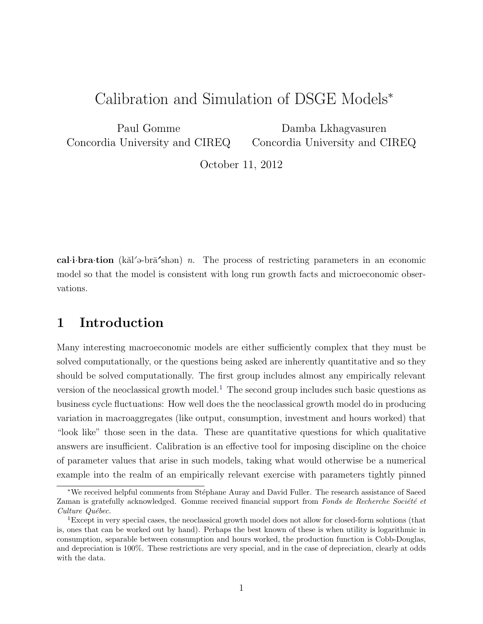# Calibration and Simulation of DSGE Models<sup>∗</sup>

Paul Gomme Concordia University and CIREQ

Damba Lkhagvasuren Concordia University and CIREQ

October 11, 2012

cal·i·bra·tion (k $\ddot{\text{a}}$  = bra<sup> $\dot{\text{b}}$ </sup>shan) n. The process of restricting parameters in an economic model so that the model is consistent with long run growth facts and microeconomic observations.

# 1 Introduction

Many interesting macroeconomic models are either sufficiently complex that they must be solved computationally, or the questions being asked are inherently quantitative and so they should be solved computationally. The first group includes almost any empirically relevant version of the neoclassical growth model.<sup>[1](#page-0-0)</sup> The second group includes such basic questions as business cycle fluctuations: How well does the the neoclassical growth model do in producing variation in macroaggregates (like output, consumption, investment and hours worked) that "look like" those seen in the data. These are quantitative questions for which qualitative answers are insufficient. Calibration is an effective tool for imposing discipline on the choice of parameter values that arise in such models, taking what would otherwise be a numerical example into the realm of an empirically relevant exercise with parameters tightly pinned

<sup>∗</sup>We received helpful comments from St´ephane Auray and David Fuller. The research assistance of Saeed Zaman is gratefully acknowledged. Gomme received financial support from Fonds de Recherche Société et Culture Québec.

<span id="page-0-0"></span><sup>&</sup>lt;sup>1</sup>Except in very special cases, the neoclassical growth model does not allow for closed-form solutions (that is, ones that can be worked out by hand). Perhaps the best known of these is when utility is logarithmic in consumption, separable between consumption and hours worked, the production function is Cobb-Douglas, and depreciation is 100%. These restrictions are very special, and in the case of depreciation, clearly at odds with the data.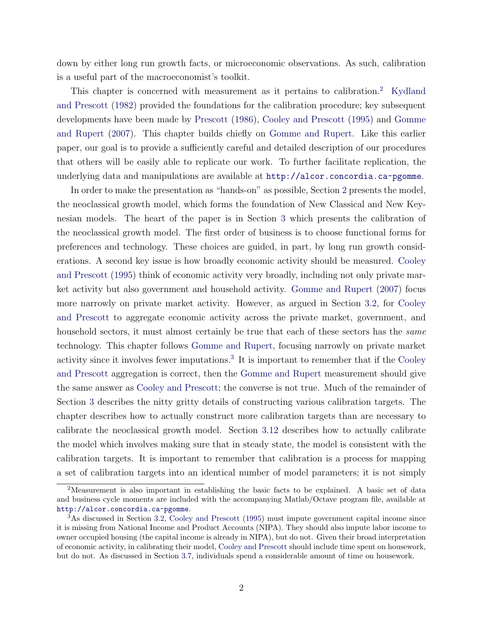down by either long run growth facts, or microeconomic observations. As such, calibration is a useful part of the macroeconomist's toolkit.

This chapter is concerned with measurement as it pertains to calibration.<sup>[2](#page-1-0)</sup> [Kydland](#page-21-0) [and Prescott](#page-21-0) [\(1982\)](#page-21-0) provided the foundations for the calibration procedure; key subsequent developments have been made by [Prescott](#page-21-1) [\(1986\)](#page-21-1), [Cooley and Prescott](#page-20-0) [\(1995\)](#page-20-0) and [Gomme](#page-20-1) [and Rupert](#page-20-1) [\(2007\)](#page-20-1). This chapter builds chiefly on [Gomme and Rupert.](#page-20-1) Like this earlier paper, our goal is to provide a sufficiently careful and detailed description of our procedures that others will be easily able to replicate our work. To further facilitate replication, the underlying data and manipulations are available at <http://alcor.concordia.ca~pgomme>.

In order to make the presentation as "hands-on" as possible, Section [2](#page-2-0) presents the model, the neoclassical growth model, which forms the foundation of New Classical and New Keynesian models. The heart of the paper is in Section [3](#page-4-0) which presents the calibration of the neoclassical growth model. The first order of business is to choose functional forms for preferences and technology. These choices are guided, in part, by long run growth considerations. A second key issue is how broadly economic activity should be measured. [Cooley](#page-20-0) [and Prescott](#page-20-0) [\(1995\)](#page-20-0) think of economic activity very broadly, including not only private market activity but also government and household activity. [Gomme and Rupert](#page-20-1) [\(2007\)](#page-20-1) focus more narrowly on private market activity. However, as argued in Section [3.2,](#page-5-0) for [Cooley](#page-20-0) [and Prescott](#page-20-0) to aggregate economic activity across the private market, government, and household sectors, it must almost certainly be true that each of these sectors has the *same* technology. This chapter follows [Gomme and Rupert,](#page-20-1) focusing narrowly on private market activity since it involves fewer imputations.<sup>[3](#page-1-1)</sup> It is important to remember that if the [Cooley](#page-20-0) [and Prescott](#page-20-0) aggregation is correct, then the [Gomme and Rupert](#page-20-1) measurement should give the same answer as [Cooley and Prescott;](#page-20-0) the converse is not true. Much of the remainder of Section [3](#page-4-0) describes the nitty gritty details of constructing various calibration targets. The chapter describes how to actually construct more calibration targets than are necessary to calibrate the neoclassical growth model. Section [3.12](#page-15-0) describes how to actually calibrate the model which involves making sure that in steady state, the model is consistent with the calibration targets. It is important to remember that calibration is a process for mapping a set of calibration targets into an identical number of model parameters; it is not simply

<span id="page-1-0"></span><sup>2</sup>Measurement is also important in establishing the basic facts to be explained. A basic set of data and business cycle moments are included with the accompanying Matlab/Octave program file, available at <http://alcor.concordia.ca~pgomme>.

<span id="page-1-1"></span><sup>3</sup>As discussed in Section [3.2,](#page-5-0) [Cooley and Prescott](#page-20-0) [\(1995\)](#page-20-0) must impute government capital income since it is missing from National Income and Product Accounts (NIPA). They should also impute labor income to owner occupied housing (the capital income is already in NIPA), but do not. Given their broad interpretation of economic activity, in calibrating their model, [Cooley and Prescott](#page-20-0) should include time spent on housework, but do not. As discussed in Section [3.7,](#page-10-0) individuals spend a considerable amount of time on housework.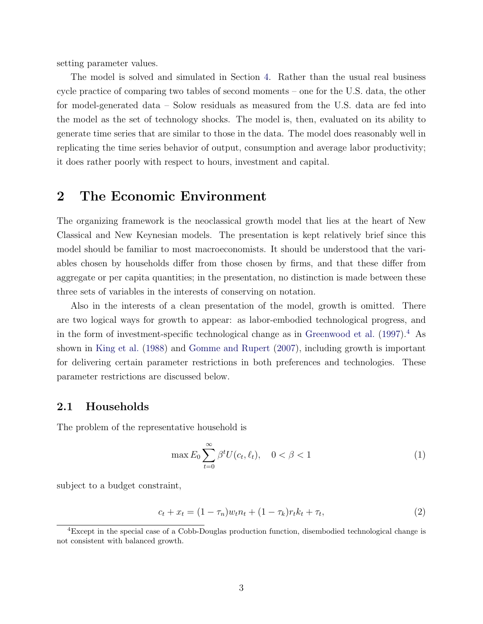setting parameter values.

The model is solved and simulated in Section [4.](#page-16-0) Rather than the usual real business cycle practice of comparing two tables of second moments – one for the U.S. data, the other for model-generated data – Solow residuals as measured from the U.S. data are fed into the model as the set of technology shocks. The model is, then, evaluated on its ability to generate time series that are similar to those in the data. The model does reasonably well in replicating the time series behavior of output, consumption and average labor productivity; it does rather poorly with respect to hours, investment and capital.

## <span id="page-2-0"></span>2 The Economic Environment

The organizing framework is the neoclassical growth model that lies at the heart of New Classical and New Keynesian models. The presentation is kept relatively brief since this model should be familiar to most macroeconomists. It should be understood that the variables chosen by households differ from those chosen by firms, and that these differ from aggregate or per capita quantities; in the presentation, no distinction is made between these three sets of variables in the interests of conserving on notation.

Also in the interests of a clean presentation of the model, growth is omitted. There are two logical ways for growth to appear: as labor-embodied technological progress, and in the form of investment-specific technological change as in [Greenwood et al.](#page-20-2)  $(1997)^{4}$  $(1997)^{4}$  $(1997)^{4}$  $(1997)^{4}$  As shown in [King et al.](#page-20-3) [\(1988\)](#page-20-3) and [Gomme and Rupert](#page-20-1) [\(2007\)](#page-20-1), including growth is important for delivering certain parameter restrictions in both preferences and technologies. These parameter restrictions are discussed below.

#### 2.1 Households

The problem of the representative household is

<span id="page-2-2"></span>
$$
\max E_0 \sum_{t=0}^{\infty} \beta^t U(c_t, \ell_t), \quad 0 < \beta < 1 \tag{1}
$$

subject to a budget constraint,

$$
c_t + x_t = (1 - \tau_n)w_t n_t + (1 - \tau_k)r_t k_t + \tau_t,
$$
\n(2)

<span id="page-2-1"></span><sup>4</sup>Except in the special case of a Cobb-Douglas production function, disembodied technological change is not consistent with balanced growth.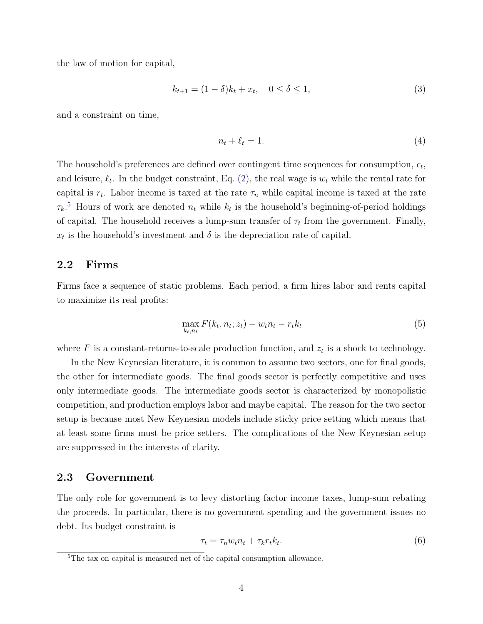the law of motion for capital,

$$
k_{t+1} = (1 - \delta)k_t + x_t, \quad 0 \le \delta \le 1,
$$
\n(3)

and a constraint on time,

$$
n_t + \ell_t = 1. \tag{4}
$$

The household's preferences are defined over contingent time sequences for consumption,  $c_t$ , and leisure,  $\ell_t$ . In the budget constraint, Eq. [\(2\),](#page-2-2) the real wage is  $w_t$  while the rental rate for capital is  $r_t$ . Labor income is taxed at the rate  $\tau_n$  while capital income is taxed at the rate  $\tau_k$ <sup>[5](#page-3-0)</sup> Hours of work are denoted  $n_t$  while  $k_t$  is the household's beginning-of-period holdings of capital. The household receives a lump-sum transfer of  $\tau_t$  from the government. Finally,  $x_t$  is the household's investment and  $\delta$  is the depreciation rate of capital.

### 2.2 Firms

Firms face a sequence of static problems. Each period, a firm hires labor and rents capital to maximize its real profits:

$$
\max_{k_t, n_t} F(k_t, n_t; z_t) - w_t n_t - r_t k_t \tag{5}
$$

where  $F$  is a constant-returns-to-scale production function, and  $z_t$  is a shock to technology.

In the New Keynesian literature, it is common to assume two sectors, one for final goods, the other for intermediate goods. The final goods sector is perfectly competitive and uses only intermediate goods. The intermediate goods sector is characterized by monopolistic competition, and production employs labor and maybe capital. The reason for the two sector setup is because most New Keynesian models include sticky price setting which means that at least some firms must be price setters. The complications of the New Keynesian setup are suppressed in the interests of clarity.

#### 2.3 Government

The only role for government is to levy distorting factor income taxes, lump-sum rebating the proceeds. In particular, there is no government spending and the government issues no debt. Its budget constraint is

$$
\tau_t = \tau_n w_t n_t + \tau_k r_t k_t. \tag{6}
$$

<span id="page-3-0"></span><sup>5</sup>The tax on capital is measured net of the capital consumption allowance.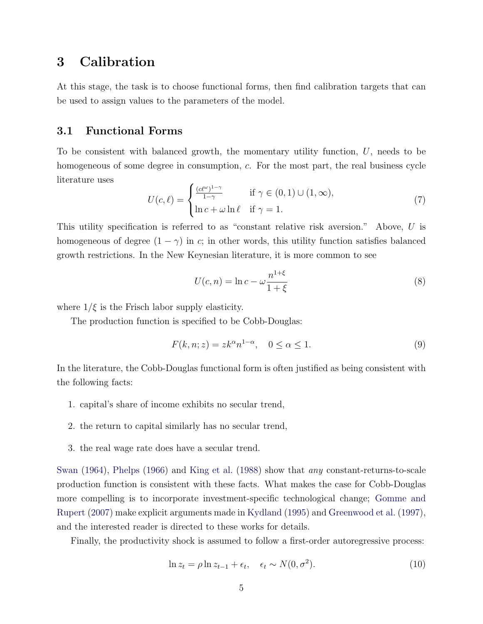## <span id="page-4-0"></span>3 Calibration

At this stage, the task is to choose functional forms, then find calibration targets that can be used to assign values to the parameters of the model.

#### 3.1 Functional Forms

To be consistent with balanced growth, the momentary utility function, U, needs to be homogeneous of some degree in consumption, c. For the most part, the real business cycle literature uses

<span id="page-4-1"></span>
$$
U(c,\ell) = \begin{cases} \frac{(c\ell^{\omega})^{1-\gamma}}{1-\gamma} & \text{if } \gamma \in (0,1) \cup (1,\infty), \\ \ln c + \omega \ln \ell & \text{if } \gamma = 1. \end{cases}
$$
 (7)

This utility specification is referred to as "constant relative risk aversion." Above, U is homogeneous of degree  $(1 - \gamma)$  in c; in other words, this utility function satisfies balanced growth restrictions. In the New Keynesian literature, it is more common to see

<span id="page-4-2"></span>
$$
U(c,n) = \ln c - \omega \frac{n^{1+\xi}}{1+\xi}
$$
\n(8)

where  $1/\xi$  is the Frisch labor supply elasticity.

The production function is specified to be Cobb-Douglas:

<span id="page-4-3"></span>
$$
F(k, n; z) = zk^{\alpha} n^{1-\alpha}, \quad 0 \le \alpha \le 1.
$$
\n<sup>(9)</sup>

In the literature, the Cobb-Douglas functional form is often justified as being consistent with the following facts:

- 1. capital's share of income exhibits no secular trend,
- 2. the return to capital similarly has no secular trend,
- 3. the real wage rate does have a secular trend.

[Swan](#page-21-2) [\(1964\)](#page-21-2), [Phelps](#page-21-3) [\(1966\)](#page-21-3) and [King et al.](#page-20-3) [\(1988\)](#page-20-3) show that any constant-returns-to-scale production function is consistent with these facts. What makes the case for Cobb-Douglas more compelling is to incorporate investment-specific technological change; [Gomme and](#page-20-1) [Rupert](#page-20-1) [\(2007\)](#page-20-1) make explicit arguments made in [Kydland](#page-21-4) [\(1995\)](#page-21-4) and [Greenwood et al.](#page-20-2) [\(1997\)](#page-20-2), and the interested reader is directed to these works for details.

Finally, the productivity shock is assumed to follow a first-order autoregressive process:

<span id="page-4-4"></span>
$$
\ln z_t = \rho \ln z_{t-1} + \epsilon_t, \quad \epsilon_t \sim N(0, \sigma^2). \tag{10}
$$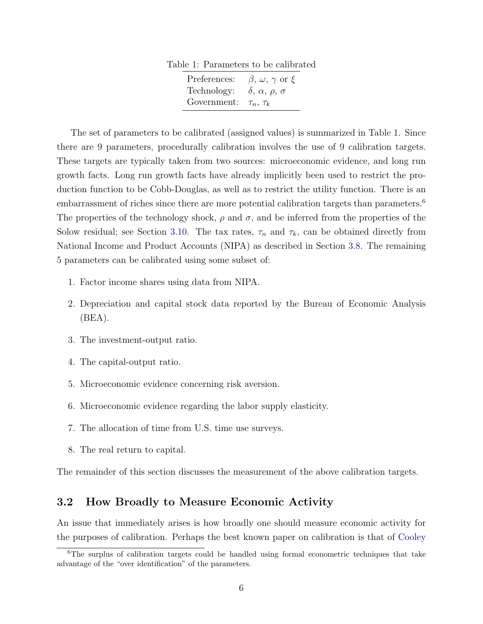Table 1: Parameters to be calibrated

| Preferences: | $\beta, \omega, \gamma$ or $\xi$        |
|--------------|-----------------------------------------|
| Technology:  | $\delta$ , $\alpha$ , $\rho$ , $\sigma$ |
| Government:  | $\tau_n$ , $\tau_k$                     |

<span id="page-5-1"></span>The set of parameters to be calibrated (assigned values) is summarized in Table [1.](#page-5-1) Since there are 9 parameters, procedurally calibration involves the use of 9 calibration targets. These targets are typically taken from two sources: microeconomic evidence, and long run growth facts. Long run growth facts have already implicitly been used to restrict the production function to be Cobb-Douglas, as well as to restrict the utility function. There is an embarrassment of riches since there are more potential calibration targets than parameters.<sup>[6](#page-5-2)</sup> The properties of the technology shock,  $\rho$  and  $\sigma$ , and be inferred from the properties of the Solow residual; see Section [3.10.](#page-12-0) The tax rates,  $\tau_n$  and  $\tau_k$ , can be obtained directly from National Income and Product Accounts (NIPA) as described in Section [3.8.](#page-11-0) The remaining 5 parameters can be calibrated using some subset of:

- 1. Factor income shares using data from NIPA.
- 2. Depreciation and capital stock data reported by the Bureau of Economic Analysis (BEA).
- 3. The investment-output ratio.
- 4. The capital-output ratio.
- 5. Microeconomic evidence concerning risk aversion.
- 6. Microeconomic evidence regarding the labor supply elasticity.
- 7. The allocation of time from U.S. time use surveys.
- 8. The real return to capital.

The remainder of this section discusses the measurement of the above calibration targets.

### <span id="page-5-0"></span>3.2 How Broadly to Measure Economic Activity

An issue that immediately arises is how broadly one should measure economic activity for the purposes of calibration. Perhaps the best known paper on calibration is that of [Cooley](#page-20-0)

<span id="page-5-2"></span> $6$ [The surplus of calibration targets could be handled using formal econometric techniques that take](#page-20-0) [advantage of the "over identification" of the parameters.](#page-20-0)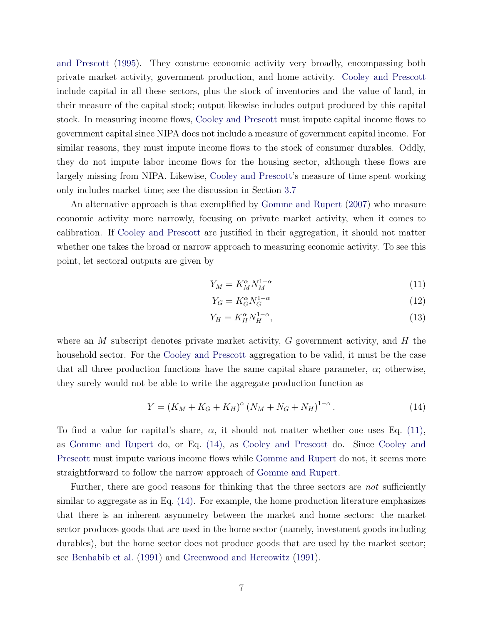[and Prescott](#page-20-0) [\(1995\)](#page-20-0). They construe economic activity very broadly, encompassing both private market activity, government production, and home activity. [Cooley and Prescott](#page-20-0) include capital in all these sectors, plus the stock of inventories and the value of land, in their measure of the capital stock; output likewise includes output produced by this capital stock. In measuring income flows, [Cooley and Prescott](#page-20-0) must impute capital income flows to government capital since NIPA does not include a measure of government capital income. For similar reasons, they must impute income flows to the stock of consumer durables. Oddly, they do not impute labor income flows for the housing sector, although these flows are largely missing from NIPA. Likewise, [Cooley and Prescott'](#page-20-0)s measure of time spent working only includes market time; see the discussion in Section [3.7](#page-10-0)

An alternative approach is that exemplified by [Gomme and Rupert](#page-20-1) [\(2007\)](#page-20-1) who measure economic activity more narrowly, focusing on private market activity, when it comes to calibration. If [Cooley and Prescott](#page-20-0) are justified in their aggregation, it should not matter whether one takes the broad or narrow approach to measuring economic activity. To see this point, let sectoral outputs are given by

$$
Y_M = K_M^{\alpha} N_M^{1-\alpha} \tag{11}
$$

<span id="page-6-0"></span>
$$
Y_G = K_G^{\alpha} N_G^{1-\alpha} \tag{12}
$$

$$
Y_H = K_H^{\alpha} N_H^{1-\alpha},\tag{13}
$$

where an M subscript denotes private market activity,  $G$  government activity, and  $H$  the household sector. For the [Cooley and Prescott](#page-20-0) aggregation to be valid, it must be the case that all three production functions have the same capital share parameter,  $\alpha$ ; otherwise, they surely would not be able to write the aggregate production function as

<span id="page-6-1"></span>
$$
Y = (K_M + K_G + K_H)^{\alpha} (N_M + N_G + N_H)^{1-\alpha}.
$$
\n(14)

To find a value for capital's share,  $\alpha$ , it should not matter whether one uses Eq. [\(11\),](#page-6-0) as [Gomme and Rupert](#page-20-1) do, or Eq. [\(14\),](#page-6-1) as [Cooley and Prescott](#page-20-0) do. Since [Cooley and](#page-20-0) [Prescott](#page-20-0) must impute various income flows while [Gomme and Rupert](#page-20-1) do not, it seems more straightforward to follow the narrow approach of [Gomme and Rupert.](#page-20-1)

Further, there are good reasons for thinking that the three sectors are *not* sufficiently similar to aggregate as in Eq. [\(14\).](#page-6-1) For example, the home production literature emphasizes that there is an inherent asymmetry between the market and home sectors: the market sector produces goods that are used in the home sector (namely, investment goods including durables), but the home sector does not produce goods that are used by the market sector; see [Benhabib et al.](#page-20-4) [\(1991\)](#page-20-4) and [Greenwood and Hercowitz](#page-20-5) [\(1991\)](#page-20-5).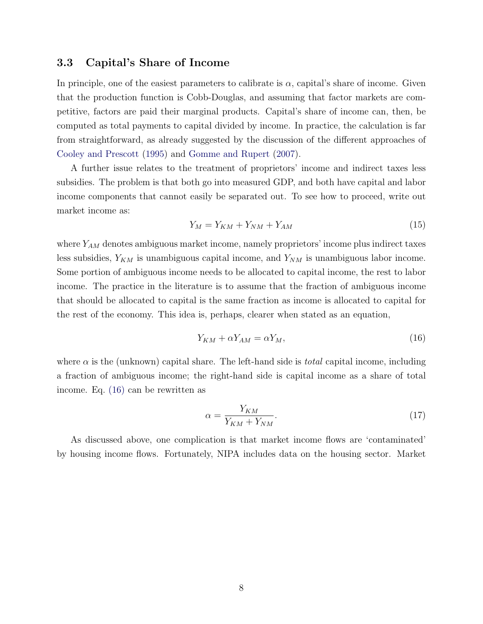#### <span id="page-7-2"></span>3.3 Capital's Share of Income

In principle, one of the easiest parameters to calibrate is  $\alpha$ , capital's share of income. Given that the production function is Cobb-Douglas, and assuming that factor markets are competitive, factors are paid their marginal products. Capital's share of income can, then, be computed as total payments to capital divided by income. In practice, the calculation is far from straightforward, as already suggested by the discussion of the different approaches of [Cooley and Prescott](#page-20-0) [\(1995\)](#page-20-0) and [Gomme and Rupert](#page-20-1) [\(2007\)](#page-20-1).

A further issue relates to the treatment of proprietors' income and indirect taxes less subsidies. The problem is that both go into measured GDP, and both have capital and labor income components that cannot easily be separated out. To see how to proceed, write out market income as:

$$
Y_M = Y_{KM} + Y_{NM} + Y_{AM} \tag{15}
$$

where  $Y_{AM}$  denotes ambiguous market income, namely proprietors' income plus indirect taxes less subsidies,  $Y_{KM}$  is unambiguous capital income, and  $Y_{NM}$  is unambiguous labor income. Some portion of ambiguous income needs to be allocated to capital income, the rest to labor income. The practice in the literature is to assume that the fraction of ambiguous income that should be allocated to capital is the same fraction as income is allocated to capital for the rest of the economy. This idea is, perhaps, clearer when stated as an equation,

<span id="page-7-0"></span>
$$
Y_{KM} + \alpha Y_{AM} = \alpha Y_M, \tag{16}
$$

where  $\alpha$  is the (unknown) capital share. The left-hand side is *total* capital income, including a fraction of ambiguous income; the right-hand side is capital income as a share of total income. Eq. [\(16\)](#page-7-0) can be rewritten as

<span id="page-7-1"></span>
$$
\alpha = \frac{Y_{KM}}{Y_{KM} + Y_{NM}}.\tag{17}
$$

As discussed above, one complication is that market income flows are 'contaminated' by housing income flows. Fortunately, NIPA includes data on the housing sector. Market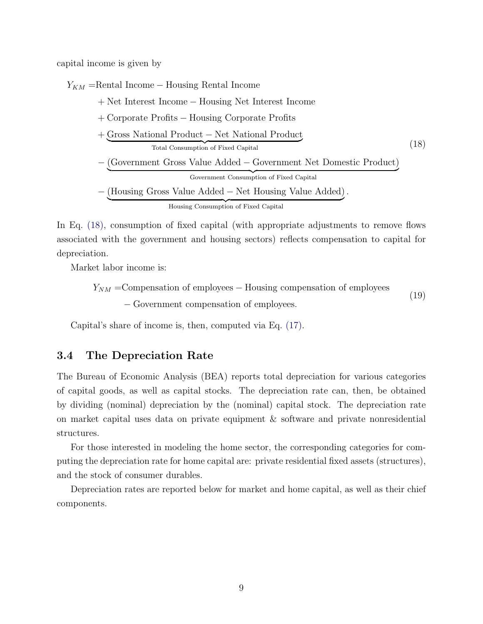capital income is given by

 $Y_{KM}$  =Rental Income – Housing Rental Income

+ Net Interest Income − Housing Net Interest Income

- + Corporate Profits − Housing Corporate Profits
- <span id="page-8-0"></span>+ Gross National Product − Net National Product Total Consumption of Fixed Capital (18)
- − (Government Gross Value Added − Government Net Domestic Product) | {z } Government Consumption of Fixed Capital

− (Housing Gross Value Added − Net Housing Value Added) .

Housing Consumption of Fixed Capital

In Eq. [\(18\),](#page-8-0) consumption of fixed capital (with appropriate adjustments to remove flows associated with the government and housing sectors) reflects compensation to capital for depreciation.

Market labor income is:

 $Y_{NM}$  =Compensation of employees – Housing compensation of employees − Government compensation of employees. (19)

Capital's share of income is, then, computed via Eq. [\(17\).](#page-7-1)

#### 3.4 The Depreciation Rate

The Bureau of Economic Analysis (BEA) reports total depreciation for various categories of capital goods, as well as capital stocks. The depreciation rate can, then, be obtained by dividing (nominal) depreciation by the (nominal) capital stock. The depreciation rate on market capital uses data on private equipment & software and private nonresidential structures.

For those interested in modeling the home sector, the corresponding categories for computing the depreciation rate for home capital are: private residential fixed assets (structures), and the stock of consumer durables.

Depreciation rates are reported below for market and home capital, as well as their chief components.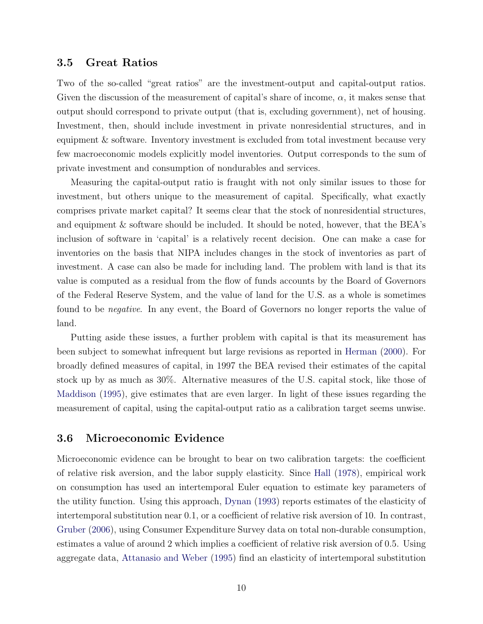#### 3.5 Great Ratios

Two of the so-called "great ratios" are the investment-output and capital-output ratios. Given the discussion of the measurement of capital's share of income,  $\alpha$ , it makes sense that output should correspond to private output (that is, excluding government), net of housing. Investment, then, should include investment in private nonresidential structures, and in equipment & software. Inventory investment is excluded from total investment because very few macroeconomic models explicitly model inventories. Output corresponds to the sum of private investment and consumption of nondurables and services.

Measuring the capital-output ratio is fraught with not only similar issues to those for investment, but others unique to the measurement of capital. Specifically, what exactly comprises private market capital? It seems clear that the stock of nonresidential structures, and equipment & software should be included. It should be noted, however, that the BEA's inclusion of software in 'capital' is a relatively recent decision. One can make a case for inventories on the basis that NIPA includes changes in the stock of inventories as part of investment. A case can also be made for including land. The problem with land is that its value is computed as a residual from the flow of funds accounts by the Board of Governors of the Federal Reserve System, and the value of land for the U.S. as a whole is sometimes found to be negative. In any event, the Board of Governors no longer reports the value of land.

Putting aside these issues, a further problem with capital is that its measurement has been subject to somewhat infrequent but large revisions as reported in [Herman](#page-20-6) [\(2000\)](#page-20-6). For broadly defined measures of capital, in 1997 the BEA revised their estimates of the capital stock up by as much as 30%. Alternative measures of the U.S. capital stock, like those of [Maddison](#page-21-5) [\(1995\)](#page-21-5), give estimates that are even larger. In light of these issues regarding the measurement of capital, using the capital-output ratio as a calibration target seems unwise.

#### 3.6 Microeconomic Evidence

Microeconomic evidence can be brought to bear on two calibration targets: the coefficient of relative risk aversion, and the labor supply elasticity. Since [Hall](#page-20-7) [\(1978\)](#page-20-7), empirical work on consumption has used an intertemporal Euler equation to estimate key parameters of the utility function. Using this approach, [Dynan](#page-20-8) [\(1993\)](#page-20-8) reports estimates of the elasticity of intertemporal substitution near 0.1, or a coefficient of relative risk aversion of 10. In contrast, [Gruber](#page-20-9) [\(2006\)](#page-20-9), using Consumer Expenditure Survey data on total non-durable consumption, estimates a value of around 2 which implies a coefficient of relative risk aversion of 0.5. Using aggregate data, [Attanasio and Weber](#page-19-0) [\(1995\)](#page-19-0) find an elasticity of intertemporal substitution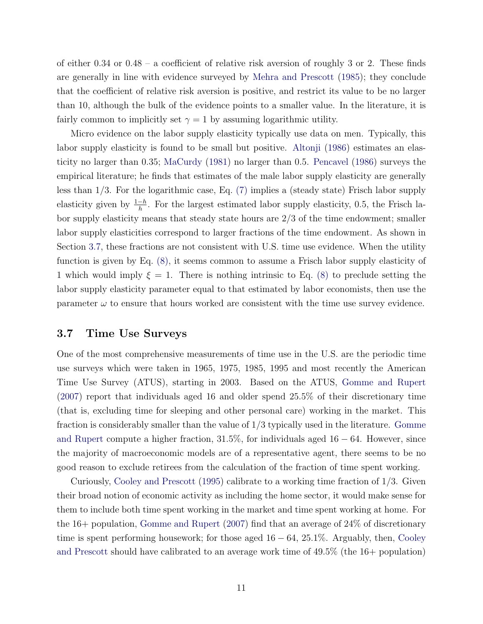of either  $0.34$  or  $0.48 - a$  coefficient of relative risk aversion of roughly 3 or 2. These finds are generally in line with evidence surveyed by [Mehra and Prescott](#page-21-6) [\(1985\)](#page-21-6); they conclude that the coefficient of relative risk aversion is positive, and restrict its value to be no larger than 10, although the bulk of the evidence points to a smaller value. In the literature, it is fairly common to implicitly set  $\gamma = 1$  by assuming logarithmic utility.

Micro evidence on the labor supply elasticity typically use data on men. Typically, this labor supply elasticity is found to be small but positive. [Altonji](#page-19-1) [\(1986\)](#page-19-1) estimates an elasticity no larger than 0.35; [MaCurdy](#page-21-7) [\(1981\)](#page-21-7) no larger than 0.5. [Pencavel](#page-21-8) [\(1986\)](#page-21-8) surveys the empirical literature; he finds that estimates of the male labor supply elasticity are generally less than 1/3. For the logarithmic case, Eq. [\(7\)](#page-4-1) implies a (steady state) Frisch labor supply elasticity given by  $\frac{1-h}{h}$ . For the largest estimated labor supply elasticity, 0.5, the Frisch labor supply elasticity means that steady state hours are 2/3 of the time endowment; smaller labor supply elasticities correspond to larger fractions of the time endowment. As shown in Section [3.7,](#page-10-0) these fractions are not consistent with U.S. time use evidence. When the utility function is given by Eq. [\(8\),](#page-4-2) it seems common to assume a Frisch labor supply elasticity of 1 which would imply  $\xi = 1$ . There is nothing intrinsic to Eq. [\(8\)](#page-4-2) to preclude setting the labor supply elasticity parameter equal to that estimated by labor economists, then use the parameter  $\omega$  to ensure that hours worked are consistent with the time use survey evidence.

#### <span id="page-10-0"></span>3.7 Time Use Surveys

One of the most comprehensive measurements of time use in the U.S. are the periodic time use surveys which were taken in 1965, 1975, 1985, 1995 and most recently the American Time Use Survey (ATUS), starting in 2003. Based on the ATUS, [Gomme and Rupert](#page-20-1) [\(2007\)](#page-20-1) report that individuals aged 16 and older spend 25.5% of their discretionary time (that is, excluding time for sleeping and other personal care) working in the market. This fraction is considerably smaller than the value of  $1/3$  typically used in the literature. [Gomme](#page-20-1) [and Rupert](#page-20-1) compute a higher fraction,  $31.5\%$ , for individuals aged  $16 - 64$ . However, since the majority of macroeconomic models are of a representative agent, there seems to be no good reason to exclude retirees from the calculation of the fraction of time spent working.

Curiously, [Cooley and Prescott](#page-20-0) [\(1995\)](#page-20-0) calibrate to a working time fraction of 1/3. Given their broad notion of economic activity as including the home sector, it would make sense for them to include both time spent working in the market and time spent working at home. For the 16+ population, [Gomme and Rupert](#page-20-1) [\(2007\)](#page-20-1) find that an average of 24% of discretionary time is spent performing housework; for those aged  $16 - 64$ ,  $25.1\%$ . Arguably, then, [Cooley](#page-20-0) [and Prescott](#page-20-0) should have calibrated to an average work time of 49.5% (the 16+ population)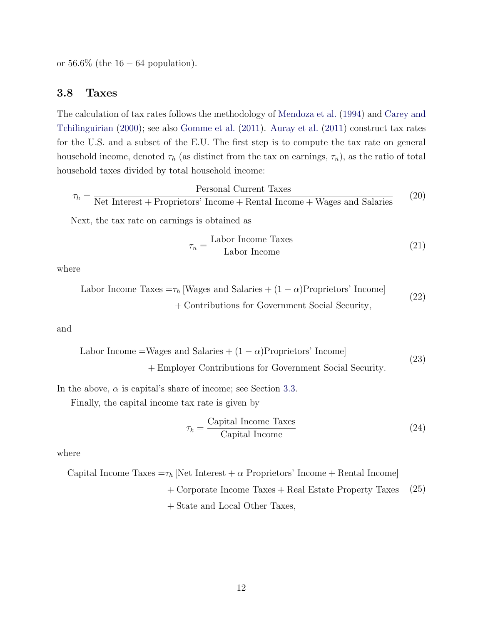or  $56.6\%$  (the  $16 - 64$  population).

### <span id="page-11-0"></span>3.8 Taxes

The calculation of tax rates follows the methodology of [Mendoza et al.](#page-21-9) [\(1994\)](#page-21-9) and [Carey and](#page-20-10) [Tchilinguirian](#page-20-10) [\(2000\)](#page-20-10); see also [Gomme et al.](#page-20-11) [\(2011\)](#page-20-11). [Auray et al.](#page-19-2) [\(2011\)](#page-19-2) construct tax rates for the U.S. and a subset of the E.U. The first step is to compute the tax rate on general household income, denoted  $\tau_h$  (as distinct from the tax on earnings,  $\tau_n$ ), as the ratio of total household taxes divided by total household income:

$$
\tau_h = \frac{\text{Personal Current Taxes}}{\text{Net Interest} + \text{Properties' Income} + \text{Rental Income} + \text{Wages and Salaries}} \tag{20}
$$

Next, the tax rate on earnings is obtained as

$$
\tau_n = \frac{\text{Labor Income Taxes}}{\text{Labor Income}} \tag{21}
$$

where

Labor Income Taxes = 
$$
τ_h
$$
 [Wages and Salaries + (1 − *α*)Properties' Income] + Contributions for Government Social Security, (22)

and

Labor Income =Wages and Salaries + 
$$
(1 - α)
$$
Properties' Income  
+ Employee Contributions for Government Social Security. (23)

In the above,  $\alpha$  is capital's share of income; see Section [3.3.](#page-7-2)

Finally, the capital income tax rate is given by

$$
\tau_k = \frac{\text{Capital Income Taxes}}{\text{Capital Income}} \tag{24}
$$

where

Capital Income Taxes = 
$$
\tau_h
$$
 [Net Interest +  $\alpha$  Properties' Income + Rental Income]

+ Corporate Income Taxes + Real Estate Property Taxes (25)

+ State and Local Other Taxes,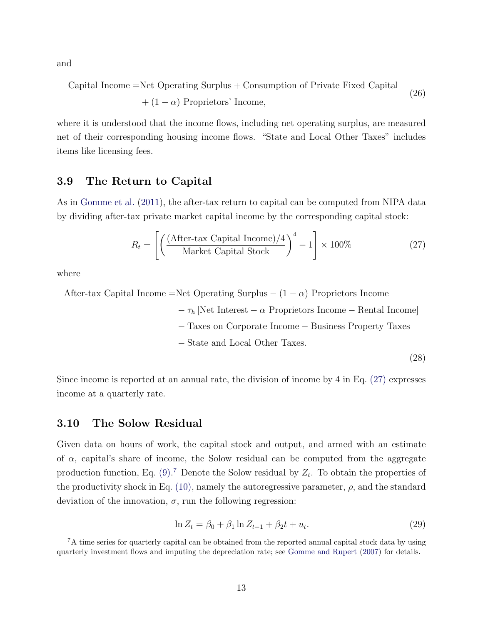and

Capital Income = Net Operating Surplus + Consumption of Private Fixed Capital

\n
$$
+ (1 - \alpha) \text{ Properties' Income},
$$
\n(26)

where it is understood that the income flows, including net operating surplus, are measured net of their corresponding housing income flows. "State and Local Other Taxes" includes items like licensing fees.

#### 3.9 The Return to Capital

As in [Gomme et al.](#page-20-11) [\(2011\)](#page-20-11), the after-tax return to capital can be computed from NIPA data by dividing after-tax private market capital income by the corresponding capital stock:

<span id="page-12-1"></span>
$$
R_t = \left[ \left( \frac{\text{(After-tax Capital Income)} / 4}{\text{Market Capital Stock}} \right)^4 - 1 \right] \times 100\% \tag{27}
$$

where

After-tax Capital Income =Net Operating Surplus  $-(1 - \alpha)$  Proprietors Income

 $-\tau_h$  [Net Interest –  $\alpha$  Proprietors Income – Rental Income]

− Taxes on Corporate Income − Business Property Taxes

− State and Local Other Taxes.

(28)

Since income is reported at an annual rate, the division of income by 4 in Eq. [\(27\)](#page-12-1) expresses income at a quarterly rate.

#### <span id="page-12-0"></span>3.10 The Solow Residual

Given data on hours of work, the capital stock and output, and armed with an estimate of  $\alpha$ , capital's share of income, the Solow residual can be computed from the aggregate production function, Eq.  $(9)$ .<sup>[7](#page-12-2)</sup> Denote the Solow residual by  $Z_t$ . To obtain the properties of the productivity shock in Eq.  $(10)$ , namely the autoregressive parameter,  $\rho$ , and the standard deviation of the innovation,  $\sigma$ , run the following regression:

> <span id="page-12-3"></span> $\ln Z_t = \beta_0 + \beta_1 \ln Z_{t-1} + \beta_2 t + u_t.$ . (29)

<span id="page-12-2"></span><sup>&</sup>lt;sup>7</sup>A time series for quarterly capital can be obtained from the reported annual capital stock data by using quarterly investment flows and imputing the depreciation rate; see [Gomme and Rupert](#page-20-1) [\(2007\)](#page-20-1) for details.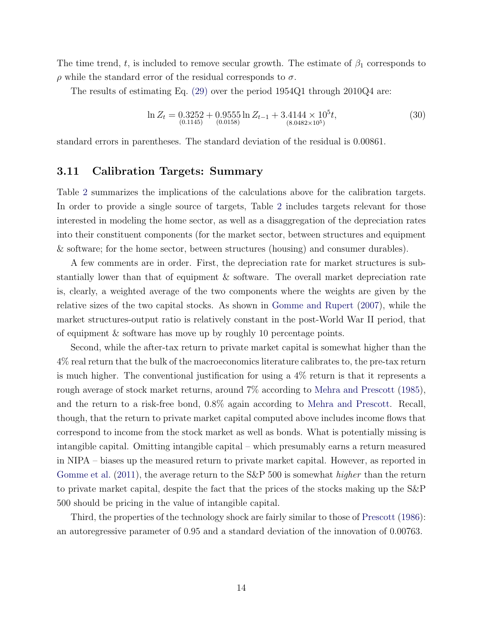The time trend, t, is included to remove secular growth. The estimate of  $\beta_1$  corresponds to  $\rho$  while the standard error of the residual corresponds to  $\sigma$ .

The results of estimating Eq. [\(29\)](#page-12-3) over the period 1954Q1 through 2010Q4 are:

<span id="page-13-0"></span>
$$
\ln Z_t = 0.3252 + 0.9555 \ln Z_{t-1} + 3.4144 \times 10^5 t,
$$
  
(30)  

$$
\ln Z_t = 0.1145 \times 10^5 t,
$$
  
(30)

standard errors in parentheses. The standard deviation of the residual is 0.00861.

#### 3.11 Calibration Targets: Summary

Table [2](#page-14-0) summarizes the implications of the calculations above for the calibration targets. In order to provide a single source of targets, Table [2](#page-14-0) includes targets relevant for those interested in modeling the home sector, as well as a disaggregation of the depreciation rates into their constituent components (for the market sector, between structures and equipment & software; for the home sector, between structures (housing) and consumer durables).

A few comments are in order. First, the depreciation rate for market structures is substantially lower than that of equipment & software. The overall market depreciation rate is, clearly, a weighted average of the two components where the weights are given by the relative sizes of the two capital stocks. As shown in [Gomme and Rupert](#page-20-1) [\(2007\)](#page-20-1), while the market structures-output ratio is relatively constant in the post-World War II period, that of equipment & software has move up by roughly 10 percentage points.

Second, while the after-tax return to private market capital is somewhat higher than the 4% real return that the bulk of the macroeconomics literature calibrates to, the pre-tax return is much higher. The conventional justification for using a 4% return is that it represents a rough average of stock market returns, around 7% according to [Mehra and Prescott](#page-21-6) [\(1985\)](#page-21-6), and the return to a risk-free bond, 0.8% again according to [Mehra and Prescott.](#page-21-6) Recall, though, that the return to private market capital computed above includes income flows that correspond to income from the stock market as well as bonds. What is potentially missing is intangible capital. Omitting intangible capital – which presumably earns a return measured in NIPA – biases up the measured return to private market capital. However, as reported in [Gomme et al.](#page-20-11) [\(2011\)](#page-20-11), the average return to the S&P 500 is somewhat *higher* than the return to private market capital, despite the fact that the prices of the stocks making up the S&P 500 should be pricing in the value of intangible capital.

Third, the properties of the technology shock are fairly similar to those of [Prescott](#page-21-1) [\(1986\)](#page-21-1): an autoregressive parameter of 0.95 and a standard deviation of the innovation of 0.00763.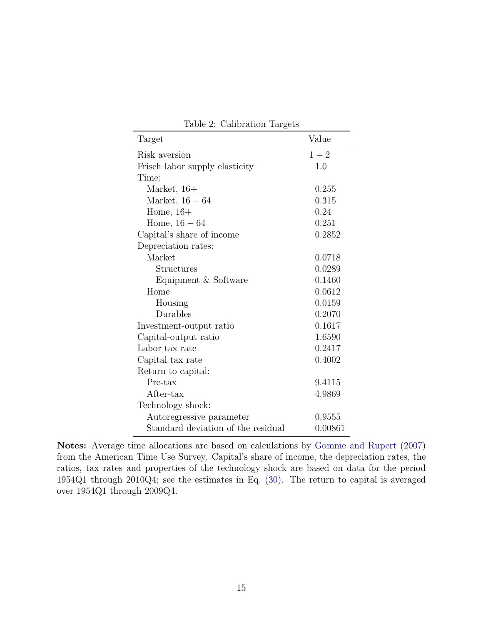<span id="page-14-0"></span>

| Target                             | Value   |
|------------------------------------|---------|
| Risk aversion                      | $1-2$   |
| Frisch labor supply elasticity     | 1.0     |
| Time:                              |         |
| Market, $16+$                      | 0.255   |
| Market, $16-64$                    | 0.315   |
| Home, $16+$                        | 0.24    |
| Home, $16 - 64$                    | 0.251   |
| Capital's share of income          | 0.2852  |
| Depreciation rates:                |         |
| Market                             | 0.0718  |
| Structures                         | 0.0289  |
| Equipment & Software               | 0.1460  |
| Home                               | 0.0612  |
| Housing                            | 0.0159  |
| Durables                           | 0.2070  |
| Investment-output ratio            | 0.1617  |
| Capital-output ratio               | 1.6590  |
| Labor tax rate                     | 0.2417  |
| Capital tax rate                   | 0.4002  |
| Return to capital:                 |         |
| Pre-tax                            | 9.4115  |
| After-tax                          | 4.9869  |
| Technology shock:                  |         |
| Autoregressive parameter           | 0.9555  |
| Standard deviation of the residual | 0.00861 |
|                                    |         |

Table 2: Calibration Targets

Notes: Average time allocations are based on calculations by [Gomme and Rupert](#page-20-1) [\(2007\)](#page-20-1) from the American Time Use Survey. Capital's share of income, the depreciation rates, the ratios, tax rates and properties of the technology shock are based on data for the period 1954Q1 through 2010Q4; see the estimates in Eq. [\(30\).](#page-13-0) The return to capital is averaged over 1954Q1 through 2009Q4.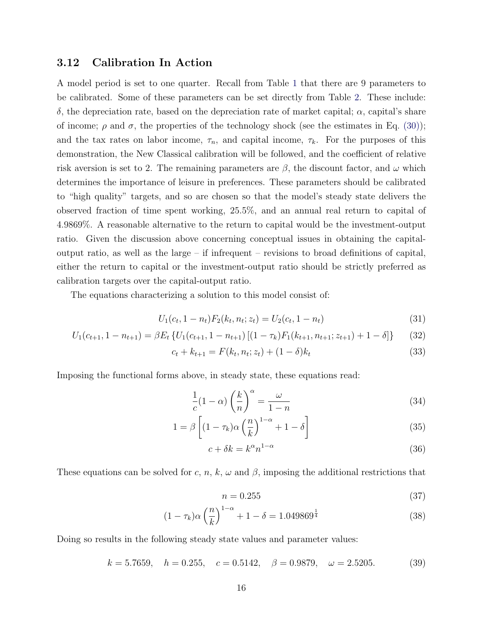#### <span id="page-15-0"></span>3.12 Calibration In Action

A model period is set to one quarter. Recall from Table [1](#page-5-1) that there are 9 parameters to be calibrated. Some of these parameters can be set directly from Table [2.](#page-14-0) These include: δ, the depreciation rate, based on the depreciation rate of market capital; α, capital's share of income;  $\rho$  and  $\sigma$ , the properties of the technology shock (see the estimates in Eq. [\(30\)\)](#page-13-0); and the tax rates on labor income,  $\tau_n$ , and capital income,  $\tau_k$ . For the purposes of this demonstration, the New Classical calibration will be followed, and the coefficient of relative risk aversion is set to 2. The remaining parameters are  $\beta$ , the discount factor, and  $\omega$  which determines the importance of leisure in preferences. These parameters should be calibrated to "high quality" targets, and so are chosen so that the model's steady state delivers the observed fraction of time spent working, 25.5%, and an annual real return to capital of 4.9869%. A reasonable alternative to the return to capital would be the investment-output ratio. Given the discussion above concerning conceptual issues in obtaining the capitaloutput ratio, as well as the large – if infrequent – revisions to broad definitions of capital, either the return to capital or the investment-output ratio should be strictly preferred as calibration targets over the capital-output ratio.

The equations characterizing a solution to this model consist of:

$$
U_1(c_t, 1 - n_t)F_2(k_t, n_t; z_t) = U_2(c_t, 1 - n_t)
$$
\n(31)

$$
U_1(c_{t+1}, 1 - n_{t+1}) = \beta E_t \left\{ U_1(c_{t+1}, 1 - n_{t+1}) \left[ (1 - \tau_k) F_1(k_{t+1}, n_{t+1}; z_{t+1}) + 1 - \delta \right] \right\}
$$
(32)

$$
c_t + k_{t+1} = F(k_t, n_t; z_t) + (1 - \delta)k_t
$$
\n(33)

Imposing the functional forms above, in steady state, these equations read:

$$
\frac{1}{c}(1-\alpha)\left(\frac{k}{n}\right)^{\alpha} = \frac{\omega}{1-n}
$$
\n(34)

$$
1 = \beta \left[ (1 - \tau_k) \alpha \left( \frac{n}{k} \right)^{1 - \alpha} + 1 - \delta \right] \tag{35}
$$

$$
c + \delta k = k^{\alpha} n^{1-\alpha} \tag{36}
$$

These equations can be solved for c, n, k,  $\omega$  and  $\beta$ , imposing the additional restrictions that

$$
n = 0.255\tag{37}
$$

$$
(1 - \tau_k)\alpha \left(\frac{n}{k}\right)^{1 - \alpha} + 1 - \delta = 1.049869^{\frac{1}{4}}
$$
\n(38)

Doing so results in the following steady state values and parameter values:

$$
k = 5.7659
$$
,  $h = 0.255$ ,  $c = 0.5142$ ,  $\beta = 0.9879$ ,  $\omega = 2.5205$ . (39)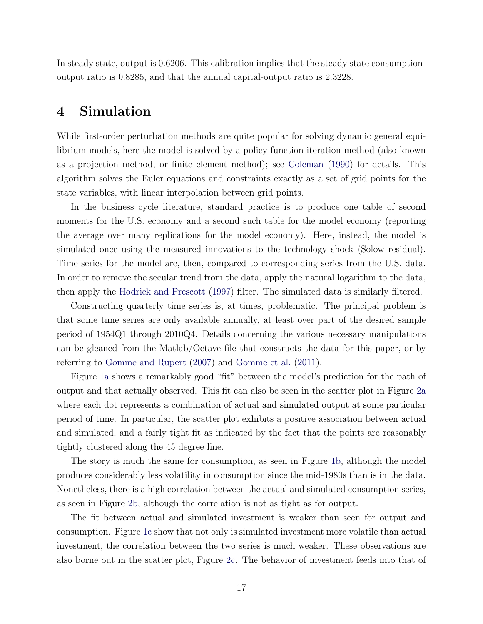In steady state, output is 0.6206. This calibration implies that the steady state consumptionoutput ratio is 0.8285, and that the annual capital-output ratio is 2.3228.

## <span id="page-16-0"></span>4 Simulation

While first-order perturbation methods are quite popular for solving dynamic general equilibrium models, here the model is solved by a policy function iteration method (also known as a projection method, or finite element method); see [Coleman](#page-20-12) [\(1990\)](#page-20-12) for details. This algorithm solves the Euler equations and constraints exactly as a set of grid points for the state variables, with linear interpolation between grid points.

In the business cycle literature, standard practice is to produce one table of second moments for the U.S. economy and a second such table for the model economy (reporting the average over many replications for the model economy). Here, instead, the model is simulated once using the measured innovations to the technology shock (Solow residual). Time series for the model are, then, compared to corresponding series from the U.S. data. In order to remove the secular trend from the data, apply the natural logarithm to the data, then apply the [Hodrick and Prescott](#page-20-13) [\(1997\)](#page-20-13) filter. The simulated data is similarly filtered.

Constructing quarterly time series is, at times, problematic. The principal problem is that some time series are only available annually, at least over part of the desired sample period of 1954Q1 through 2010Q4. Details concerning the various necessary manipulations can be gleaned from the Matlab/Octave file that constructs the data for this paper, or by referring to [Gomme and Rupert](#page-20-1) [\(2007\)](#page-20-1) and [Gomme et al.](#page-20-11) [\(2011\)](#page-20-11).

Figure [1a](#page-17-0) shows a remarkably good "fit" between the model's prediction for the path of output and that actually observed. This fit can also be seen in the scatter plot in Figure [2a](#page-18-0) where each dot represents a combination of actual and simulated output at some particular period of time. In particular, the scatter plot exhibits a positive association between actual and simulated, and a fairly tight fit as indicated by the fact that the points are reasonably tightly clustered along the 45 degree line.

The story is much the same for consumption, as seen in Figure [1b,](#page-17-1) although the model produces considerably less volatility in consumption since the mid-1980s than is in the data. Nonetheless, there is a high correlation between the actual and simulated consumption series, as seen in Figure [2b,](#page-18-1) although the correlation is not as tight as for output.

The fit between actual and simulated investment is weaker than seen for output and consumption. Figure [1c](#page-17-2) show that not only is simulated investment more volatile than actual investment, the correlation between the two series is much weaker. These observations are also borne out in the scatter plot, Figure [2c.](#page-18-2) The behavior of investment feeds into that of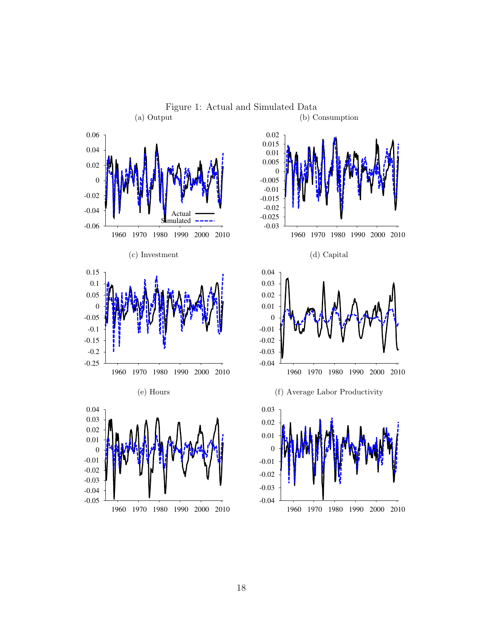<span id="page-17-5"></span><span id="page-17-4"></span><span id="page-17-3"></span><span id="page-17-2"></span><span id="page-17-1"></span><span id="page-17-0"></span>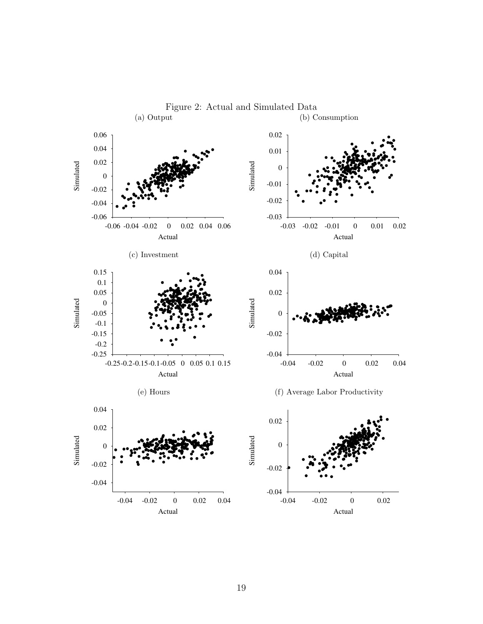<span id="page-18-4"></span><span id="page-18-2"></span><span id="page-18-0"></span>

<span id="page-18-5"></span><span id="page-18-3"></span><span id="page-18-1"></span>Figure 2: Actual and Simulated Data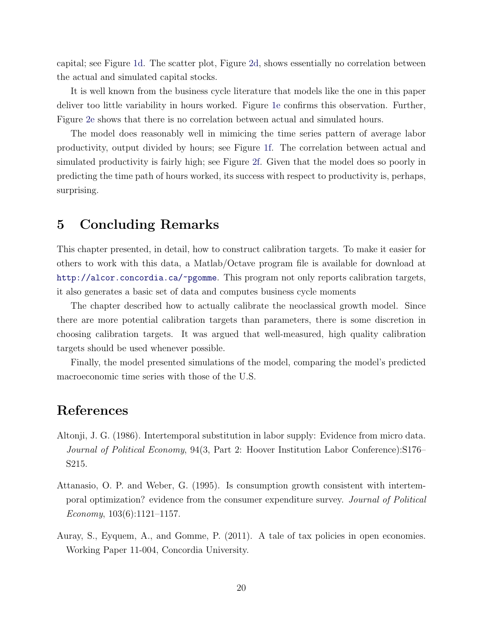capital; see Figure [1d.](#page-17-3) The scatter plot, Figure [2d,](#page-18-3) shows essentially no correlation between the actual and simulated capital stocks.

It is well known from the business cycle literature that models like the one in this paper deliver too little variability in hours worked. Figure [1e](#page-17-4) confirms this observation. Further, Figure [2e](#page-18-4) shows that there is no correlation between actual and simulated hours.

The model does reasonably well in mimicing the time series pattern of average labor productivity, output divided by hours; see Figure [1f.](#page-17-5) The correlation between actual and simulated productivity is fairly high; see Figure [2f.](#page-18-5) Given that the model does so poorly in predicting the time path of hours worked, its success with respect to productivity is, perhaps, surprising.

### 5 Concluding Remarks

This chapter presented, in detail, how to construct calibration targets. To make it easier for others to work with this data, a Matlab/Octave program file is available for download at <http://alcor.concordia.ca/~pgomme>. This program not only reports calibration targets, it also generates a basic set of data and computes business cycle moments

The chapter described how to actually calibrate the neoclassical growth model. Since there are more potential calibration targets than parameters, there is some discretion in choosing calibration targets. It was argued that well-measured, high quality calibration targets should be used whenever possible.

Finally, the model presented simulations of the model, comparing the model's predicted macroeconomic time series with those of the U.S.

# References

- <span id="page-19-1"></span>Altonji, J. G. (1986). Intertemporal substitution in labor supply: Evidence from micro data. Journal of Political Economy, 94(3, Part 2: Hoover Institution Labor Conference):S176– S215.
- <span id="page-19-0"></span>Attanasio, O. P. and Weber, G. (1995). Is consumption growth consistent with intertemporal optimization? evidence from the consumer expenditure survey. Journal of Political Economy,  $103(6):1121-1157$ .
- <span id="page-19-2"></span>Auray, S., Eyquem, A., and Gomme, P. (2011). A tale of tax policies in open economies. Working Paper 11-004, Concordia University.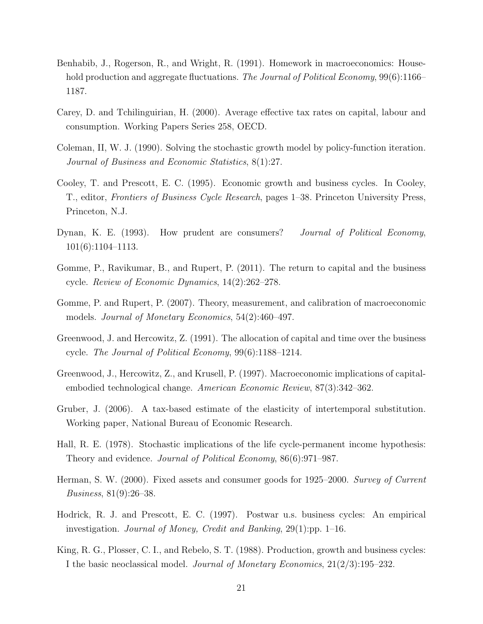- <span id="page-20-4"></span>Benhabib, J., Rogerson, R., and Wright, R. (1991). Homework in macroeconomics: Household production and aggregate fluctuations. The Journal of Political Economy, 99(6):1166– 1187.
- <span id="page-20-10"></span>Carey, D. and Tchilinguirian, H. (2000). Average effective tax rates on capital, labour and consumption. Working Papers Series 258, OECD.
- <span id="page-20-12"></span>Coleman, II, W. J. (1990). Solving the stochastic growth model by policy-function iteration. Journal of Business and Economic Statistics, 8(1):27.
- <span id="page-20-0"></span>Cooley, T. and Prescott, E. C. (1995). Economic growth and business cycles. In Cooley, T., editor, Frontiers of Business Cycle Research, pages 1–38. Princeton University Press, Princeton, N.J.
- <span id="page-20-8"></span>Dynan, K. E. (1993). How prudent are consumers? *Journal of Political Economy*, 101(6):1104–1113.
- <span id="page-20-11"></span>Gomme, P., Ravikumar, B., and Rupert, P. (2011). The return to capital and the business cycle. Review of Economic Dynamics, 14(2):262–278.
- <span id="page-20-1"></span>Gomme, P. and Rupert, P. (2007). Theory, measurement, and calibration of macroeconomic models. Journal of Monetary Economics, 54(2):460–497.
- <span id="page-20-5"></span>Greenwood, J. and Hercowitz, Z. (1991). The allocation of capital and time over the business cycle. The Journal of Political Economy, 99(6):1188–1214.
- <span id="page-20-2"></span>Greenwood, J., Hercowitz, Z., and Krusell, P. (1997). Macroeconomic implications of capitalembodied technological change. American Economic Review, 87(3):342–362.
- <span id="page-20-9"></span>Gruber, J. (2006). A tax-based estimate of the elasticity of intertemporal substitution. Working paper, National Bureau of Economic Research.
- <span id="page-20-7"></span>Hall, R. E. (1978). Stochastic implications of the life cycle-permanent income hypothesis: Theory and evidence. Journal of Political Economy, 86(6):971–987.
- <span id="page-20-6"></span>Herman, S. W. (2000). Fixed assets and consumer goods for 1925–2000. Survey of Current Business, 81(9):26–38.
- <span id="page-20-13"></span>Hodrick, R. J. and Prescott, E. C. (1997). Postwar u.s. business cycles: An empirical investigation. Journal of Money, Credit and Banking, 29(1):pp. 1–16.
- <span id="page-20-3"></span>King, R. G., Plosser, C. I., and Rebelo, S. T. (1988). Production, growth and business cycles: I the basic neoclassical model. Journal of Monetary Economics, 21(2/3):195–232.